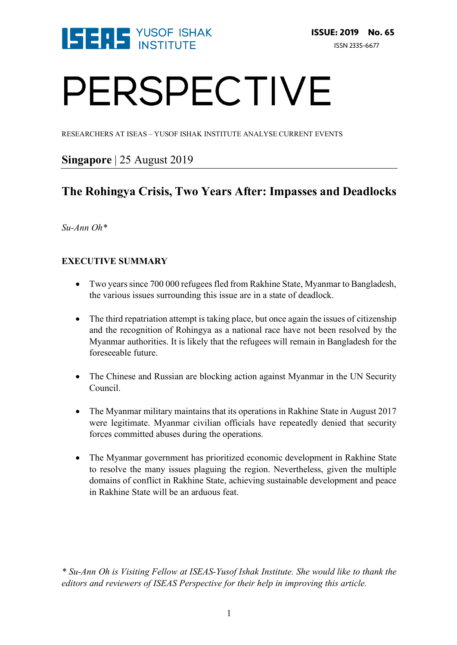

# PERSPECTIVE

RESEARCHERS AT ISEAS – YUSOF ISHAK INSTITUTE ANALYSE CURRENT EVENTS

## **Singapore** | 25 August 2019

# **The Rohingya Crisis, Two Years After: Impasses and Deadlocks**

*Su-Ann Oh\** 

## **EXECUTIVE SUMMARY**

- Two years since 700 000 refugees fled from Rakhine State, Myanmar to Bangladesh, the various issues surrounding this issue are in a state of deadlock.
- The third repatriation attempt is taking place, but once again the issues of citizenship and the recognition of Rohingya as a national race have not been resolved by the Myanmar authorities. It is likely that the refugees will remain in Bangladesh for the foreseeable future.
- The Chinese and Russian are blocking action against Myanmar in the UN Security Council.
- The Myanmar military maintains that its operations in Rakhine State in August 2017 were legitimate. Myanmar civilian officials have repeatedly denied that security forces committed abuses during the operations.
- The Myanmar government has prioritized economic development in Rakhine State to resolve the many issues plaguing the region. Nevertheless, given the multiple domains of conflict in Rakhine State, achieving sustainable development and peace in Rakhine State will be an arduous feat.

*\* Su-Ann Oh is Visiting Fellow at ISEAS-Yusof Ishak Institute. She would like to thank the editors and reviewers of ISEAS Perspective for their help in improving this article.*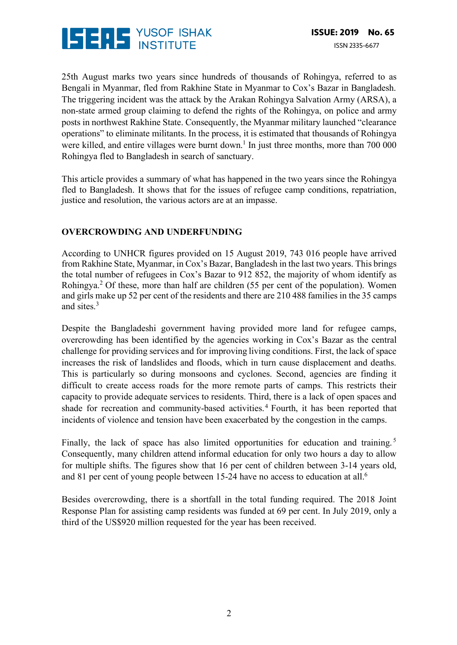

25th August marks two years since hundreds of thousands of Rohingya, referred to as Bengali in Myanmar, fled from Rakhine State in Myanmar to Cox's Bazar in Bangladesh. The triggering incident was the attack by the Arakan Rohingya Salvation Army (ARSA), a non-state armed group claiming to defend the rights of the Rohingya, on police and army posts in northwest Rakhine State. Consequently, the Myanmar military launched "clearance operations" to eliminate militants. In the process, it is estimated that thousands of Rohingya were killed, and entire villages were burnt down.<sup>1</sup> In just three months, more than 700 000 Rohingya fled to Bangladesh in search of sanctuary.

This article provides a summary of what has happened in the two years since the Rohingya fled to Bangladesh. It shows that for the issues of refugee camp conditions, repatriation, justice and resolution, the various actors are at an impasse.

#### **OVERCROWDING AND UNDERFUNDING**

According to UNHCR figures provided on 15 August 2019, 743 016 people have arrived from Rakhine State, Myanmar, in Cox's Bazar, Bangladesh in the last two years. This brings the total number of refugees in Cox's Bazar to 912 852, the majority of whom identify as Rohingya.2 Of these, more than half are children (55 per cent of the population). Women and girls make up 52 per cent of the residents and there are 210 488 families in the 35 camps and sites.3

Despite the Bangladeshi government having provided more land for refugee camps, overcrowding has been identified by the agencies working in Cox's Bazar as the central challenge for providing services and for improving living conditions. First, the lack of space increases the risk of landslides and floods, which in turn cause displacement and deaths. This is particularly so during monsoons and cyclones. Second, agencies are finding it difficult to create access roads for the more remote parts of camps. This restricts their capacity to provide adequate services to residents. Third, there is a lack of open spaces and shade for recreation and community-based activities.<sup>4</sup> Fourth, it has been reported that incidents of violence and tension have been exacerbated by the congestion in the camps.

Finally, the lack of space has also limited opportunities for education and training.<sup>5</sup> Consequently, many children attend informal education for only two hours a day to allow for multiple shifts. The figures show that 16 per cent of children between 3-14 years old, and 81 per cent of young people between 15-24 have no access to education at all.<sup>6</sup>

Besides overcrowding, there is a shortfall in the total funding required. The 2018 Joint Response Plan for assisting camp residents was funded at 69 per cent. In July 2019, only a third of the US\$920 million requested for the year has been received.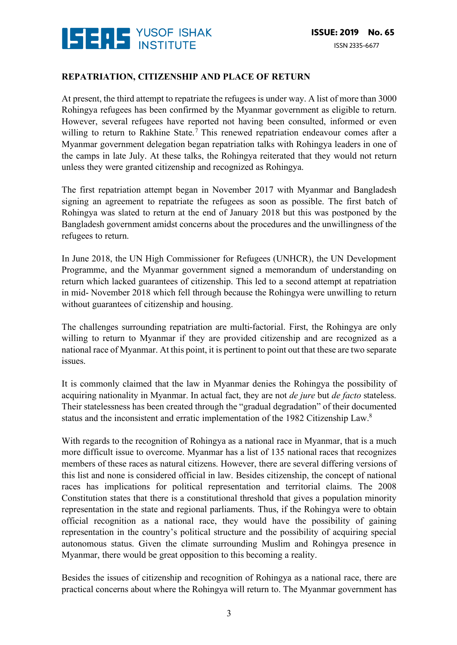

#### **REPATRIATION, CITIZENSHIP AND PLACE OF RETURN**

At present, the third attempt to repatriate the refugees is under way. A list of more than 3000 Rohingya refugees has been confirmed by the Myanmar government as eligible to return. However, several refugees have reported not having been consulted, informed or even willing to return to Rakhine State.<sup>7</sup> This renewed repatriation endeavour comes after a Myanmar government delegation began repatriation talks with Rohingya leaders in one of the camps in late July. At these talks, the Rohingya reiterated that they would not return unless they were granted citizenship and recognized as Rohingya.

The first repatriation attempt began in November 2017 with Myanmar and Bangladesh signing an agreement to repatriate the refugees as soon as possible. The first batch of Rohingya was slated to return at the end of January 2018 but this was postponed by the Bangladesh government amidst concerns about the procedures and the unwillingness of the refugees to return.

In June 2018, the UN High Commissioner for Refugees (UNHCR), the UN Development Programme, and the Myanmar government signed a memorandum of understanding on return which lacked guarantees of citizenship. This led to a second attempt at repatriation in mid- November 2018 which fell through because the Rohingya were unwilling to return without guarantees of citizenship and housing.

The challenges surrounding repatriation are multi-factorial. First, the Rohingya are only willing to return to Myanmar if they are provided citizenship and are recognized as a national race of Myanmar. At this point, it is pertinent to point out that these are two separate issues.

It is commonly claimed that the law in Myanmar denies the Rohingya the possibility of acquiring nationality in Myanmar. In actual fact, they are not *de jure* but *de facto* stateless. Their statelessness has been created through the "gradual degradation" of their documented status and the inconsistent and erratic implementation of the 1982 Citizenship Law.8

With regards to the recognition of Rohingya as a national race in Myanmar, that is a much more difficult issue to overcome. Myanmar has a list of 135 national races that recognizes members of these races as natural citizens. However, there are several differing versions of this list and none is considered official in law. Besides citizenship, the concept of national races has implications for political representation and territorial claims. The 2008 Constitution states that there is a constitutional threshold that gives a population minority representation in the state and regional parliaments. Thus, if the Rohingya were to obtain official recognition as a national race, they would have the possibility of gaining representation in the country's political structure and the possibility of acquiring special autonomous status. Given the climate surrounding Muslim and Rohingya presence in Myanmar, there would be great opposition to this becoming a reality.

Besides the issues of citizenship and recognition of Rohingya as a national race, there are practical concerns about where the Rohingya will return to. The Myanmar government has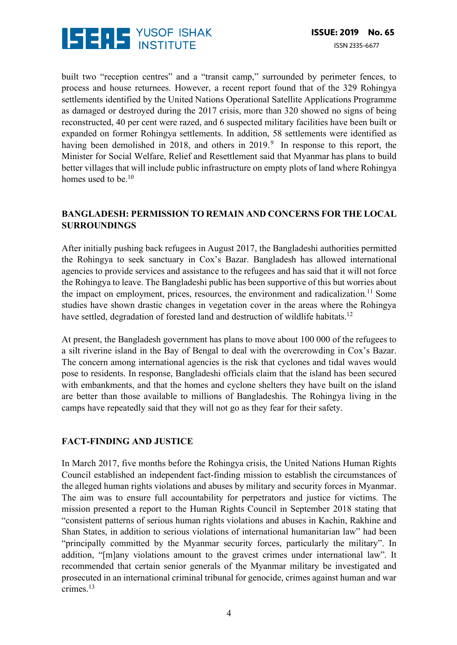

built two "reception centres" and a "transit camp," surrounded by perimeter fences, to process and house returnees. However, a recent report found that of the 329 Rohingya settlements identified by the United Nations Operational Satellite Applications Programme as damaged or destroyed during the 2017 crisis, more than 320 showed no signs of being reconstructed, 40 per cent were razed, and 6 suspected military facilities have been built or expanded on former Rohingya settlements. In addition, 58 settlements were identified as having been demolished in 2018, and others in 2019.<sup>9</sup> In response to this report, the Minister for Social Welfare, Relief and Resettlement said that Myanmar has plans to build better villages that will include public infrastructure on empty plots of land where Rohingya homes used to be.<sup>10</sup>

#### **BANGLADESH: PERMISSION TO REMAIN AND CONCERNS FOR THE LOCAL SURROUNDINGS**

After initially pushing back refugees in August 2017, the Bangladeshi authorities permitted the Rohingya to seek sanctuary in Cox's Bazar. Bangladesh has allowed international agencies to provide services and assistance to the refugees and has said that it will not force the Rohingya to leave. The Bangladeshi public has been supportive of this but worries about the impact on employment, prices, resources, the environment and radicalization.<sup>11</sup> Some studies have shown drastic changes in vegetation cover in the areas where the Rohingya have settled, degradation of forested land and destruction of wildlife habitats.<sup>12</sup>

At present, the Bangladesh government has plans to move about 100 000 of the refugees to a silt riverine island in the Bay of Bengal to deal with the overcrowding in Cox's Bazar. The concern among international agencies is the risk that cyclones and tidal waves would pose to residents. In response, Bangladeshi officials claim that the island has been secured with embankments, and that the homes and cyclone shelters they have built on the island are better than those available to millions of Bangladeshis. The Rohingya living in the camps have repeatedly said that they will not go as they fear for their safety.

#### **FACT-FINDING AND JUSTICE**

In March 2017, five months before the Rohingya crisis, the United Nations Human Rights Council established an independent fact-finding mission to establish the circumstances of the alleged human rights violations and abuses by military and security forces in Myanmar. The aim was to ensure full accountability for perpetrators and justice for victims. The mission presented a report to the Human Rights Council in September 2018 stating that "consistent patterns of serious human rights violations and abuses in Kachin, Rakhine and Shan States, in addition to serious violations of international humanitarian law" had been "principally committed by the Myanmar security forces, particularly the military". In addition, "[m]any violations amount to the gravest crimes under international law". It recommended that certain senior generals of the Myanmar military be investigated and prosecuted in an international criminal tribunal for genocide, crimes against human and war crimes.13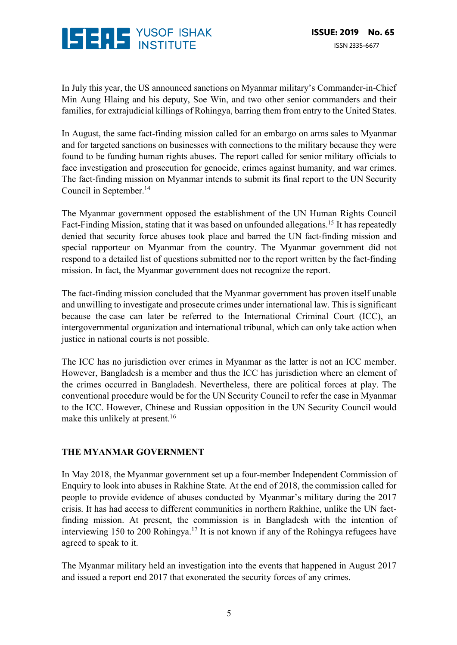

In July this year, the US announced sanctions on Myanmar military's Commander-in-Chief Min Aung Hlaing and his deputy, Soe Win, and two other senior commanders and their families, for extrajudicial killings of Rohingya, barring them from entry to the United States.

In August, the same fact-finding mission called for an embargo on arms sales to Myanmar and for targeted sanctions on businesses with connections to the military because they were found to be funding human rights abuses. The report called for senior military officials to face investigation and prosecution for genocide, crimes against humanity, and war crimes. The fact-finding mission on Myanmar intends to submit its final report to the UN Security Council in September.<sup>14</sup>

The Myanmar government opposed the establishment of the UN Human Rights Council Fact-Finding Mission, stating that it was based on unfounded allegations.<sup>15</sup> It has repeatedly denied that security force abuses took place and barred the UN fact-finding mission and special rapporteur on Myanmar from the country. The Myanmar government did not respond to a detailed list of questions submitted nor to the report written by the fact-finding mission. In fact, the Myanmar government does not recognize the report.

The fact-finding mission concluded that the Myanmar government has proven itself unable and unwilling to investigate and prosecute crimes under international law. This is significant because the case can later be referred to the International Criminal Court (ICC), an intergovernmental organization and international tribunal, which can only take action when justice in national courts is not possible.

The ICC has no jurisdiction over crimes in Myanmar as the latter is not an ICC member. However, Bangladesh is a member and thus the ICC has jurisdiction where an element of the crimes occurred in Bangladesh. Nevertheless, there are political forces at play. The conventional procedure would be for the UN Security Council to refer the case in Myanmar to the ICC. However, Chinese and Russian opposition in the UN Security Council would make this unlikely at present.<sup>16</sup>

#### **THE MYANMAR GOVERNMENT**

In May 2018, the Myanmar government set up a four-member Independent Commission of Enquiry to look into abuses in Rakhine State. At the end of 2018, the commission called for people to provide evidence of abuses conducted by Myanmar's military during the 2017 crisis. It has had access to different communities in northern Rakhine, unlike the UN factfinding mission. At present, the commission is in Bangladesh with the intention of interviewing 150 to 200 Rohingya.17 It is not known if any of the Rohingya refugees have agreed to speak to it.

The Myanmar military held an investigation into the events that happened in August 2017 and issued a report end 2017 that exonerated the security forces of any crimes.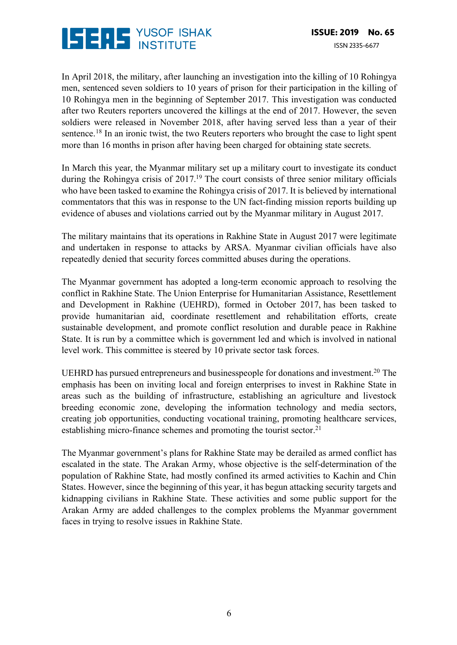

In April 2018, the military, after launching an investigation into the killing of 10 Rohingya men, sentenced seven soldiers to 10 years of prison for their participation in the killing of 10 Rohingya men in the beginning of September 2017. This investigation was conducted after two Reuters reporters uncovered the killings at the end of 2017. However, the seven soldiers were released in November 2018, after having served less than a year of their sentence.<sup>18</sup> In an ironic twist, the two Reuters reporters who brought the case to light spent more than 16 months in prison after having been charged for obtaining state secrets.

In March this year, the Myanmar military set up a military court to investigate its conduct during the Rohingya crisis of 2017.<sup>19</sup> The court consists of three senior military officials who have been tasked to examine the Rohingya crisis of 2017. It is believed by international commentators that this was in response to the UN fact-finding mission reports building up evidence of abuses and violations carried out by the Myanmar military in August 2017.

The military maintains that its operations in Rakhine State in August 2017 were legitimate and undertaken in response to attacks by ARSA. Myanmar civilian officials have also repeatedly denied that security forces committed abuses during the operations.

The Myanmar government has adopted a long-term economic approach to resolving the conflict in Rakhine State. The Union Enterprise for Humanitarian Assistance, Resettlement and Development in Rakhine (UEHRD), formed in October 2017, has been tasked to provide humanitarian aid, coordinate resettlement and rehabilitation efforts, create sustainable development, and promote conflict resolution and durable peace in Rakhine State. It is run by a committee which is government led and which is involved in national level work. This committee is steered by 10 private sector task forces.

UEHRD has pursued entrepreneurs and businesspeople for donations and investment.20 The emphasis has been on inviting local and foreign enterprises to invest in Rakhine State in areas such as the building of infrastructure, establishing an agriculture and livestock breeding economic zone, developing the information technology and media sectors, creating job opportunities, conducting vocational training, promoting healthcare services, establishing micro-finance schemes and promoting the tourist sector.<sup>21</sup>

The Myanmar government's plans for Rakhine State may be derailed as armed conflict has escalated in the state. The Arakan Army, whose objective is the self-determination of the population of Rakhine State, had mostly confined its armed activities to Kachin and Chin States. However, since the beginning of this year, it has begun attacking security targets and kidnapping civilians in Rakhine State. These activities and some public support for the Arakan Army are added challenges to the complex problems the Myanmar government faces in trying to resolve issues in Rakhine State.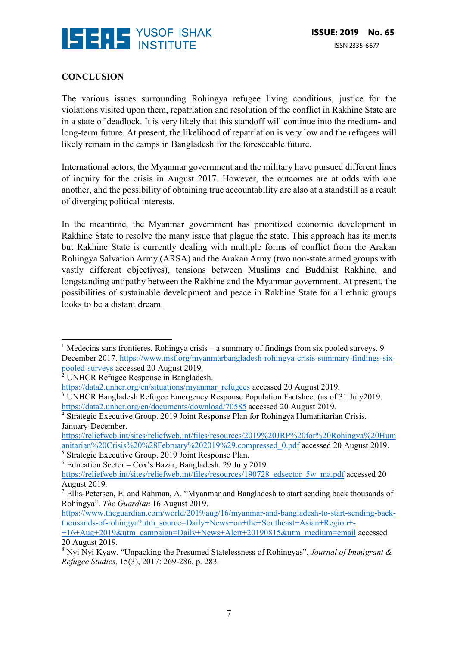

### **CONCLUSION**

The various issues surrounding Rohingya refugee living conditions, justice for the violations visited upon them, repatriation and resolution of the conflict in Rakhine State are in a state of deadlock. It is very likely that this standoff will continue into the medium- and long-term future. At present, the likelihood of repatriation is very low and the refugees will likely remain in the camps in Bangladesh for the foreseeable future.

International actors, the Myanmar government and the military have pursued different lines of inquiry for the crisis in August 2017. However, the outcomes are at odds with one another, and the possibility of obtaining true accountability are also at a standstill as a result of diverging political interests.

In the meantime, the Myanmar government has prioritized economic development in Rakhine State to resolve the many issue that plague the state. This approach has its merits but Rakhine State is currently dealing with multiple forms of conflict from the Arakan Rohingya Salvation Army (ARSA) and the Arakan Army (two non-state armed groups with vastly different objectives), tensions between Muslims and Buddhist Rakhine, and longstanding antipathy between the Rakhine and the Myanmar government. At present, the possibilities of sustainable development and peace in Rakhine State for all ethnic groups looks to be a distant dream.

https://reliefweb.int/sites/reliefweb.int/files/resources/2019%20JRP%20for%20Rohingya%20Hum anitarian%20Crisis%20%28February%202019%29.compressed\_0.pdf accessed 20 August 2019.

 $\frac{5}{5}$  Strategic Executive Group. 2019 Joint Response Plan.

<sup>&</sup>lt;sup>1</sup> Medecins sans frontieres. Rohingya crisis – a summary of findings from six pooled surveys. 9 December 2017. https://www.msf.org/myanmarbangladesh-rohingya-crisis-summary-findings-sixpooled-surveys accessed 20 August 2019. 

<sup>2</sup> UNHCR Refugee Response in Bangladesh.

https://data2.unhcr.org/en/situations/myanmar\_refugees accessed 20 August 2019.

<sup>3</sup> UNHCR Bangladesh Refugee Emergency Response Population Factsheet (as of 31 July2019. https://data2.unhcr.org/en/documents/download/70585 accessed 20 August 2019.

<sup>4</sup> Strategic Executive Group. 2019 Joint Response Plan for Rohingya Humanitarian Crisis. January-December.

 $6$  Education Sector – Cox's Bazar, Bangladesh. 29 July 2019. https://reliefweb.int/sites/reliefweb.int/files/resources/190728\_edsector\_5w\_ma.pdf accessed 20 August 2019.

<sup>7</sup> Ellis-Petersen, E. and Rahman, A. "Myanmar and Bangladesh to start sending back thousands of Rohingya". *The Guardian* 16 August 2019.

https://www.theguardian.com/world/2019/aug/16/myanmar-and-bangladesh-to-start-sending-backthousands-of-rohingya?utm\_source=Daily+News+on+the+Southeast+Asian+Region+-

<sup>+16+</sup>Aug+2019&utm\_campaign=Daily+News+Alert+20190815&utm\_medium=email accessed 20 August 2019.

<sup>8</sup> Nyi Nyi Kyaw. "Unpacking the Presumed Statelessness of Rohingyas". *Journal of Immigrant & Refugee Studies*, 15(3), 2017: 269-286, p. 283.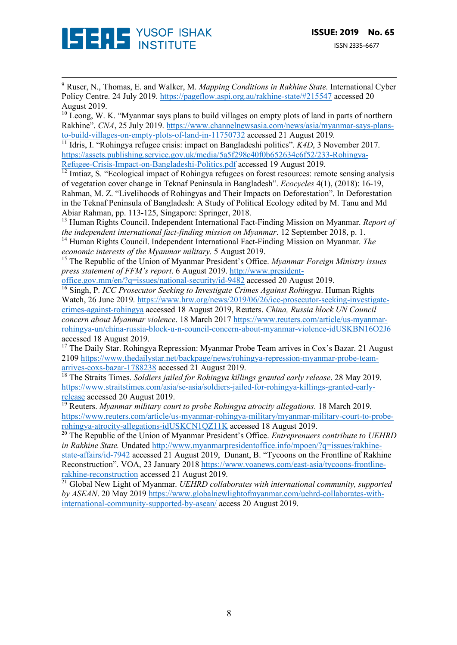

<sup>9</sup> Ruser, N., Thomas, E. and Walker, M. *Mapping Conditions in Rakhine State*. International Cyber Policy Centre. 24 July 2019. https://pageflow.aspi.org.au/rakhine-state/#215547 accessed 20 August 2019.

<u> 1989 - Andrea San Andrew Maria (h. 1989).</u><br>1900 - Andrew Maria (h. 1980).

 $10$  Leong, W. K. "Myanmar says plans to build villages on empty plots of land in parts of northern Rakhine". *CNA*, 25 July 2019. https://www.channelnewsasia.com/news/asia/myanmar-says-plansto-build-villages-on-empty-plots-of-land-in-11750732 accessed 21 August 2019.

<sup>11</sup> Idris, I. "Rohingya refugee crisis: impact on Bangladeshi politics". *K4D*, 3 November 2017. https://assets.publishing.service.gov.uk/media/5a5f298c40f0b652634c6f52/233-Rohingya-Refugee-Crisis-Impact-on-Bangladeshi-Politics.pdf accessed 19 August 2019.

 $\frac{12 \text{ I} \cdot \text{Im} \times \text{Im} \times \text{Im} \times \text{Im} \times \text{Im} \times \text{Im} \times \text{Im} \times \text{Im} \times \text{Im} \times \text{Im} \times \text{Im} \times \text{Im} \times \text{Im} \times \text{Im} \times \text{Im} \times \text{Im} \times \text{Im} \times \text{Im} \times \text{Im} \times \text{Im} \times \text{Im} \times \text{Im} \times \text{Im} \times \text{Im} \times \text{Im} \times \text{Im} \times \text{Im} \times \text{Im} \times \text{Im} \times \text{Im}$ of vegetation cover change in Teknaf Peninsula in Bangladesh". *Ecocycles* 4(1), (2018): 16-19, Rahman, M. Z. "Livelihoods of Rohingyas and Their Impacts on Deforestation". In Deforestation in the Teknaf Peninsula of Bangladesh: A Study of Political Ecology edited by M. Tanu and Md Abiar Rahman, pp. 113-125, Singapore: Springer, 2018.

<sup>13</sup> Human Rights Council. Independent International Fact-Finding Mission on Myanmar. *Report of the independent international fact-finding mission on Myanmar*. 12 September 2018, p. 1.

<sup>14</sup> Human Rights Council. Independent International Fact-Finding Mission on Myanmar. *The economic interests of the Myanmar military.* 5 August 2019.

<sup>15</sup> The Republic of the Union of Myanmar President's Office. *Myanmar Foreign Ministry issues press statement of FFM's report*. 6 August 2019. http://www.president-

office.gov.mm/en/?q=issues/national-security/id-9482 accessed 20 August 2019. <sup>16</sup> Singh, P. *ICC Prosecutor Seeking to Investigate Crimes Against Rohingya*. Human Rights Watch, 26 June 2019. https://www.hrw.org/news/2019/06/26/icc-prosecutor-seeking-investigatecrimes-against-rohingya accessed 18 August 2019, Reuters. *China, Russia block UN Council concern about Myanmar violence*. 18 March 2017 https://www.reuters.com/article/us-myanmarrohingya-un/china-russia-block-u-n-council-concern-about-myanmar-violence-idUSKBN16O2J6 accessed 18 August 2019.

 $17$  The Daily Star. Rohingya Repression: Myanmar Probe Team arrives in Cox's Bazar. 21 August 2109 https://www.thedailystar.net/backpage/news/rohingya-repression-myanmar-probe-teamarrives-coxs-bazar-1788238 accessed 21 August 2019.

<sup>18</sup> The Straits Times. *Soldiers jailed for Rohingya killings granted early release*. 28 May 2019. https://www.straitstimes.com/asia/se-asia/soldiers-jailed-for-rohingya-killings-granted-earlyrelease accessed 20 August 2019.

<sup>19</sup> Reuters. *Myanmar military court to probe Rohingya atrocity allegations*. 18 March 2019. https://www.reuters.com/article/us-myanmar-rohingya-military/myanmar-military-court-to-proberohingya-atrocity-allegations-idUSKCN1QZ11K accessed 18 August 2019.

<sup>20</sup> The Republic of the Union of Myanmar President's Office. *Entreprenuers contribute to UEHRD in Rakhine State.* Undated http://www.myanmarpresidentoffice.info/mpoen/?q=issues/rakhinestate-affairs/id-7942 accessed 21 August 2019, Dunant, B. "Tycoons on the Frontline of Rakhine Reconstruction". VOA, 23 January 2018 https://www.voanews.com/east-asia/tycoons-frontlinerakhine-reconstruction accessed 21 August 2019.

<sup>21</sup> Global New Light of Myanmar. *UEHRD collaborates with international community, supported by ASEAN*. 20 May 2019 https://www.globalnewlightofmyanmar.com/uehrd-collaborates-withinternational-community-supported-by-asean/ access 20 August 2019.